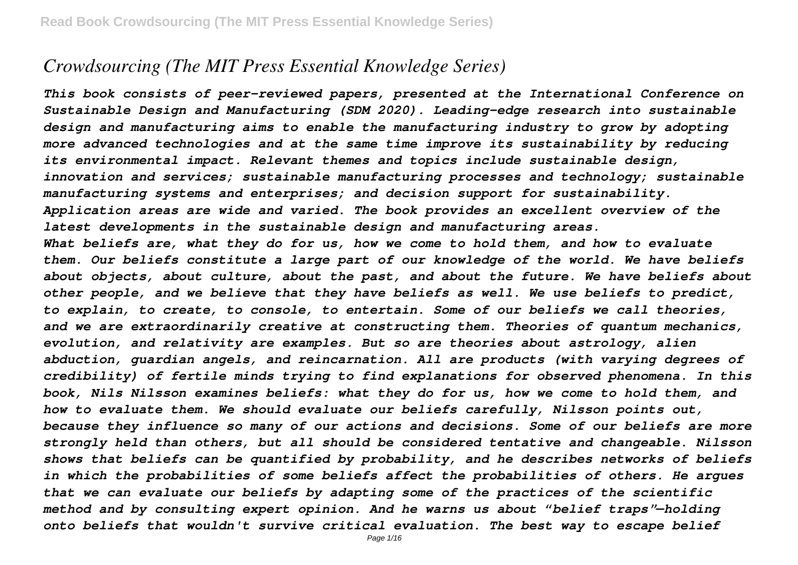# *Crowdsourcing (The MIT Press Essential Knowledge Series)*

*This book consists of peer-reviewed papers, presented at the International Conference on Sustainable Design and Manufacturing (SDM 2020). Leading-edge research into sustainable design and manufacturing aims to enable the manufacturing industry to grow by adopting more advanced technologies and at the same time improve its sustainability by reducing its environmental impact. Relevant themes and topics include sustainable design, innovation and services; sustainable manufacturing processes and technology; sustainable manufacturing systems and enterprises; and decision support for sustainability. Application areas are wide and varied. The book provides an excellent overview of the latest developments in the sustainable design and manufacturing areas. What beliefs are, what they do for us, how we come to hold them, and how to evaluate them. Our beliefs constitute a large part of our knowledge of the world. We have beliefs about objects, about culture, about the past, and about the future. We have beliefs about other people, and we believe that they have beliefs as well. We use beliefs to predict, to explain, to create, to console, to entertain. Some of our beliefs we call theories, and we are extraordinarily creative at constructing them. Theories of quantum mechanics, evolution, and relativity are examples. But so are theories about astrology, alien abduction, guardian angels, and reincarnation. All are products (with varying degrees of credibility) of fertile minds trying to find explanations for observed phenomena. In this book, Nils Nilsson examines beliefs: what they do for us, how we come to hold them, and how to evaluate them. We should evaluate our beliefs carefully, Nilsson points out, because they influence so many of our actions and decisions. Some of our beliefs are more strongly held than others, but all should be considered tentative and changeable. Nilsson shows that beliefs can be quantified by probability, and he describes networks of beliefs in which the probabilities of some beliefs affect the probabilities of others. He argues that we can evaluate our beliefs by adapting some of the practices of the scientific method and by consulting expert opinion. And he warns us about "belief traps"—holding onto beliefs that wouldn't survive critical evaluation. The best way to escape belief*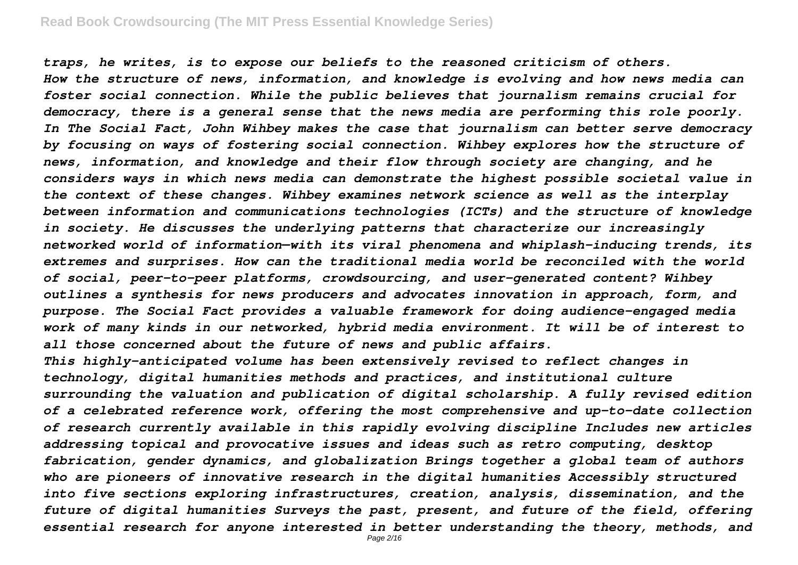*traps, he writes, is to expose our beliefs to the reasoned criticism of others. How the structure of news, information, and knowledge is evolving and how news media can foster social connection. While the public believes that journalism remains crucial for democracy, there is a general sense that the news media are performing this role poorly. In The Social Fact, John Wihbey makes the case that journalism can better serve democracy by focusing on ways of fostering social connection. Wihbey explores how the structure of news, information, and knowledge and their flow through society are changing, and he considers ways in which news media can demonstrate the highest possible societal value in the context of these changes. Wihbey examines network science as well as the interplay between information and communications technologies (ICTs) and the structure of knowledge in society. He discusses the underlying patterns that characterize our increasingly networked world of information—with its viral phenomena and whiplash-inducing trends, its extremes and surprises. How can the traditional media world be reconciled with the world of social, peer-to-peer platforms, crowdsourcing, and user-generated content? Wihbey outlines a synthesis for news producers and advocates innovation in approach, form, and purpose. The Social Fact provides a valuable framework for doing audience-engaged media work of many kinds in our networked, hybrid media environment. It will be of interest to all those concerned about the future of news and public affairs. This highly-anticipated volume has been extensively revised to reflect changes in*

*technology, digital humanities methods and practices, and institutional culture surrounding the valuation and publication of digital scholarship. A fully revised edition of a celebrated reference work, offering the most comprehensive and up-to-date collection of research currently available in this rapidly evolving discipline Includes new articles addressing topical and provocative issues and ideas such as retro computing, desktop fabrication, gender dynamics, and globalization Brings together a global team of authors who are pioneers of innovative research in the digital humanities Accessibly structured into five sections exploring infrastructures, creation, analysis, dissemination, and the future of digital humanities Surveys the past, present, and future of the field, offering essential research for anyone interested in better understanding the theory, methods, and*

Page 2/16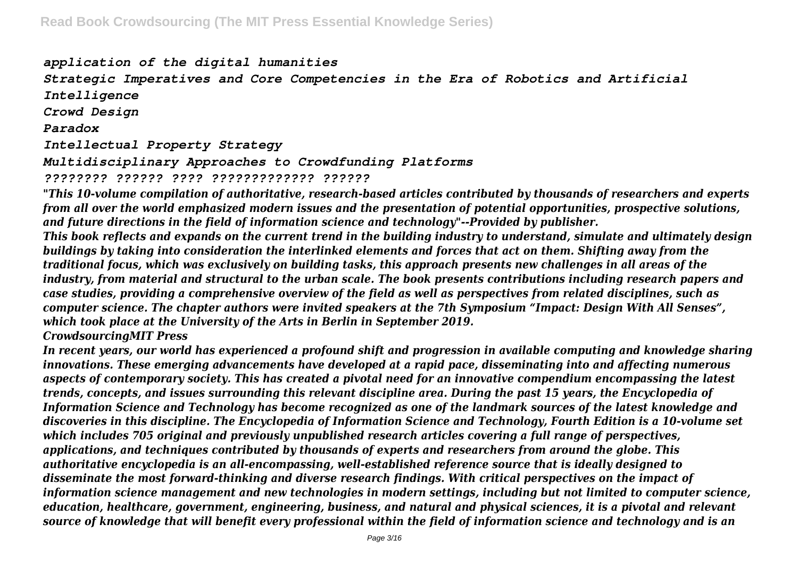*application of the digital humanities Strategic Imperatives and Core Competencies in the Era of Robotics and Artificial Intelligence Crowd Design Paradox Intellectual Property Strategy Multidisciplinary Approaches to Crowdfunding Platforms ???????? ?????? ???? ????????????? ??????*

*"This 10-volume compilation of authoritative, research-based articles contributed by thousands of researchers and experts from all over the world emphasized modern issues and the presentation of potential opportunities, prospective solutions, and future directions in the field of information science and technology"--Provided by publisher.*

*This book reflects and expands on the current trend in the building industry to understand, simulate and ultimately design buildings by taking into consideration the interlinked elements and forces that act on them. Shifting away from the traditional focus, which was exclusively on building tasks, this approach presents new challenges in all areas of the industry, from material and structural to the urban scale. The book presents contributions including research papers and case studies, providing a comprehensive overview of the field as well as perspectives from related disciplines, such as computer science. The chapter authors were invited speakers at the 7th Symposium "Impact: Design With All Senses", which took place at the University of the Arts in Berlin in September 2019.*

*CrowdsourcingMIT Press*

*In recent years, our world has experienced a profound shift and progression in available computing and knowledge sharing innovations. These emerging advancements have developed at a rapid pace, disseminating into and affecting numerous aspects of contemporary society. This has created a pivotal need for an innovative compendium encompassing the latest trends, concepts, and issues surrounding this relevant discipline area. During the past 15 years, the Encyclopedia of Information Science and Technology has become recognized as one of the landmark sources of the latest knowledge and discoveries in this discipline. The Encyclopedia of Information Science and Technology, Fourth Edition is a 10-volume set which includes 705 original and previously unpublished research articles covering a full range of perspectives, applications, and techniques contributed by thousands of experts and researchers from around the globe. This authoritative encyclopedia is an all-encompassing, well-established reference source that is ideally designed to disseminate the most forward-thinking and diverse research findings. With critical perspectives on the impact of information science management and new technologies in modern settings, including but not limited to computer science, education, healthcare, government, engineering, business, and natural and physical sciences, it is a pivotal and relevant source of knowledge that will benefit every professional within the field of information science and technology and is an*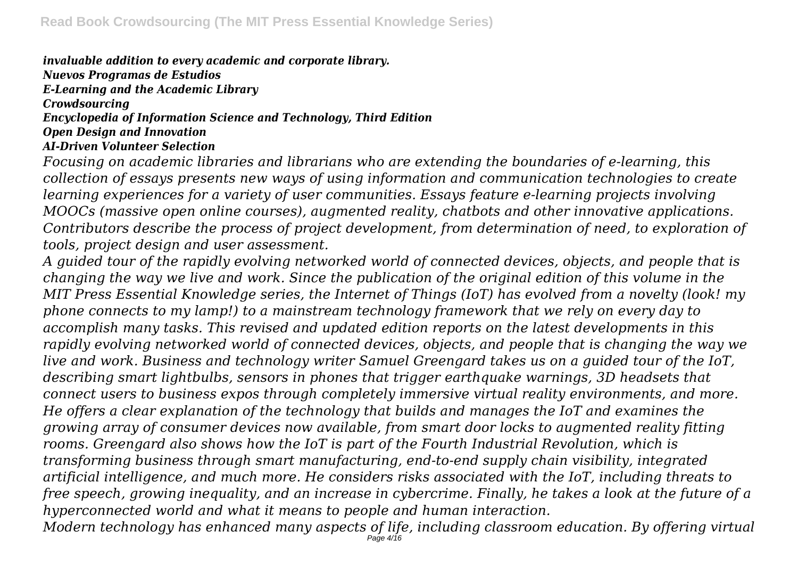*invaluable addition to every academic and corporate library. Nuevos Programas de Estudios*

*E-Learning and the Academic Library*

*Crowdsourcing*

*Encyclopedia of Information Science and Technology, Third Edition*

*Open Design and Innovation*

#### *AI-Driven Volunteer Selection*

*Focusing on academic libraries and librarians who are extending the boundaries of e-learning, this collection of essays presents new ways of using information and communication technologies to create learning experiences for a variety of user communities. Essays feature e-learning projects involving MOOCs (massive open online courses), augmented reality, chatbots and other innovative applications. Contributors describe the process of project development, from determination of need, to exploration of tools, project design and user assessment.*

*A guided tour of the rapidly evolving networked world of connected devices, objects, and people that is changing the way we live and work. Since the publication of the original edition of this volume in the MIT Press Essential Knowledge series, the Internet of Things (IoT) has evolved from a novelty (look! my phone connects to my lamp!) to a mainstream technology framework that we rely on every day to accomplish many tasks. This revised and updated edition reports on the latest developments in this rapidly evolving networked world of connected devices, objects, and people that is changing the way we live and work. Business and technology writer Samuel Greengard takes us on a guided tour of the IoT, describing smart lightbulbs, sensors in phones that trigger earthquake warnings, 3D headsets that connect users to business expos through completely immersive virtual reality environments, and more. He offers a clear explanation of the technology that builds and manages the IoT and examines the growing array of consumer devices now available, from smart door locks to augmented reality fitting rooms. Greengard also shows how the IoT is part of the Fourth Industrial Revolution, which is transforming business through smart manufacturing, end-to-end supply chain visibility, integrated artificial intelligence, and much more. He considers risks associated with the IoT, including threats to free speech, growing inequality, and an increase in cybercrime. Finally, he takes a look at the future of a hyperconnected world and what it means to people and human interaction. Modern technology has enhanced many aspects of life, including classroom education. By offering virtual*

Page 4/16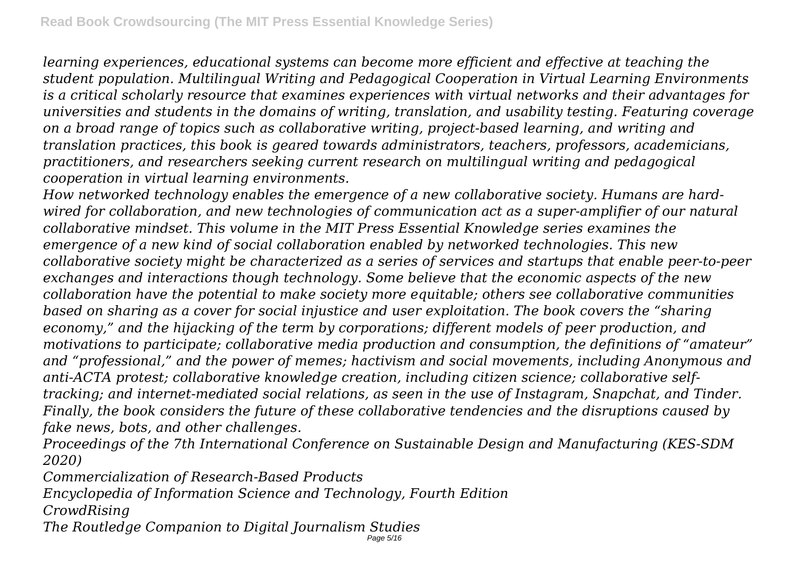*learning experiences, educational systems can become more efficient and effective at teaching the student population. Multilingual Writing and Pedagogical Cooperation in Virtual Learning Environments is a critical scholarly resource that examines experiences with virtual networks and their advantages for universities and students in the domains of writing, translation, and usability testing. Featuring coverage on a broad range of topics such as collaborative writing, project-based learning, and writing and translation practices, this book is geared towards administrators, teachers, professors, academicians, practitioners, and researchers seeking current research on multilingual writing and pedagogical cooperation in virtual learning environments.*

*How networked technology enables the emergence of a new collaborative society. Humans are hardwired for collaboration, and new technologies of communication act as a super-amplifier of our natural collaborative mindset. This volume in the MIT Press Essential Knowledge series examines the emergence of a new kind of social collaboration enabled by networked technologies. This new collaborative society might be characterized as a series of services and startups that enable peer-to-peer exchanges and interactions though technology. Some believe that the economic aspects of the new collaboration have the potential to make society more equitable; others see collaborative communities based on sharing as a cover for social injustice and user exploitation. The book covers the "sharing economy," and the hijacking of the term by corporations; different models of peer production, and motivations to participate; collaborative media production and consumption, the definitions of "amateur" and "professional," and the power of memes; hactivism and social movements, including Anonymous and anti-ACTA protest; collaborative knowledge creation, including citizen science; collaborative selftracking; and internet-mediated social relations, as seen in the use of Instagram, Snapchat, and Tinder. Finally, the book considers the future of these collaborative tendencies and the disruptions caused by fake news, bots, and other challenges.*

*Proceedings of the 7th International Conference on Sustainable Design and Manufacturing (KES-SDM 2020)*

*Commercialization of Research-Based Products*

*Encyclopedia of Information Science and Technology, Fourth Edition*

*CrowdRising*

*The Routledge Companion to Digital Journalism Studies* Page 5/16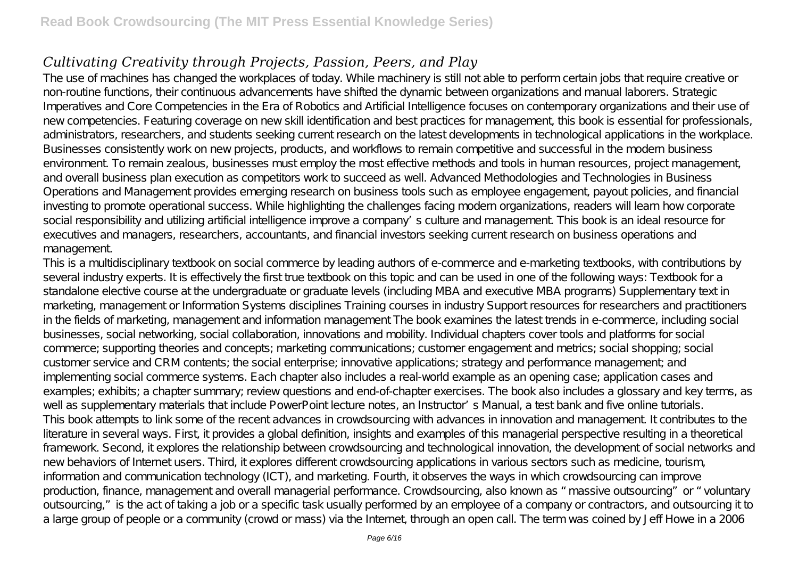## *Cultivating Creativity through Projects, Passion, Peers, and Play*

The use of machines has changed the workplaces of today. While machinery is still not able to perform certain jobs that require creative or non-routine functions, their continuous advancements have shifted the dynamic between organizations and manual laborers. Strategic Imperatives and Core Competencies in the Era of Robotics and Artificial Intelligence focuses on contemporary organizations and their use of new competencies. Featuring coverage on new skill identification and best practices for management, this book is essential for professionals, administrators, researchers, and students seeking current research on the latest developments in technological applications in the workplace. Businesses consistently work on new projects, products, and workflows to remain competitive and successful in the modern business environment. To remain zealous, businesses must employ the most effective methods and tools in human resources, project management, and overall business plan execution as competitors work to succeed as well. Advanced Methodologies and Technologies in Business Operations and Management provides emerging research on business tools such as employee engagement payout policies, and financial investing to promote operational success. While highlighting the challenges facing modern organizations, readers will learn how corporate social responsibility and utilizing artificial intelligence improve a company's culture and management. This book is an ideal resource for executives and managers, researchers, accountants, and financial investors seeking current research on business operations and management.

This is a multidisciplinary textbook on social commerce by leading authors of e-commerce and e-marketing textbooks, with contributions by several industry experts. It is effectively the first true textbook on this topic and can be used in one of the following ways: Textbook for a standalone elective course at the undergraduate or graduate levels (including MBA and executive MBA programs) Supplementary text in marketing, management or Information Systems disciplines Training courses in industry Support resources for researchers and practitioners in the fields of marketing, management and information management The book examines the latest trends in e-commerce, including social businesses, social networking, social collaboration, innovations and mobility. Individual chapters cover tools and platforms for social commerce; supporting theories and concepts; marketing communications; customer engagement and metrics; social shopping; social customer service and CRM contents; the social enterprise; innovative applications; strategy and performance management; and implementing social commerce systems. Each chapter also includes a real-world example as an opening case; application cases and examples; exhibits; a chapter summary; review questions and end-of-chapter exercises. The book also includes a glossary and key terms, as well as supplementary materials that include PowerPoint lecture notes, an Instructor's Manual, a test bank and five online tutorials. This book attempts to link some of the recent advances in crowdsourcing with advances in innovation and management. It contributes to the literature in several ways. First, it provides a global definition, insights and examples of this managerial perspective resulting in a theoretical framework. Second, it explores the relationship between crowdsourcing and technological innovation, the development of social networks and new behaviors of Internet users. Third, it explores different crowdsourcing applications in various sectors such as medicine, tourism, information and communication technology (ICT), and marketing. Fourth, it observes the ways in which crowdsourcing can improve production, finance, management and overall managerial performance. Crowdsourcing, also known as "massive outsourcing" or "voluntary outsourcing," is the act of taking a job or a specific task usually performed by an employee of a company or contractors, and outsourcing it to a large group of people or a community (crowd or mass) via the Internet, through an open call. The term was coined by Jeff Howe in a 2006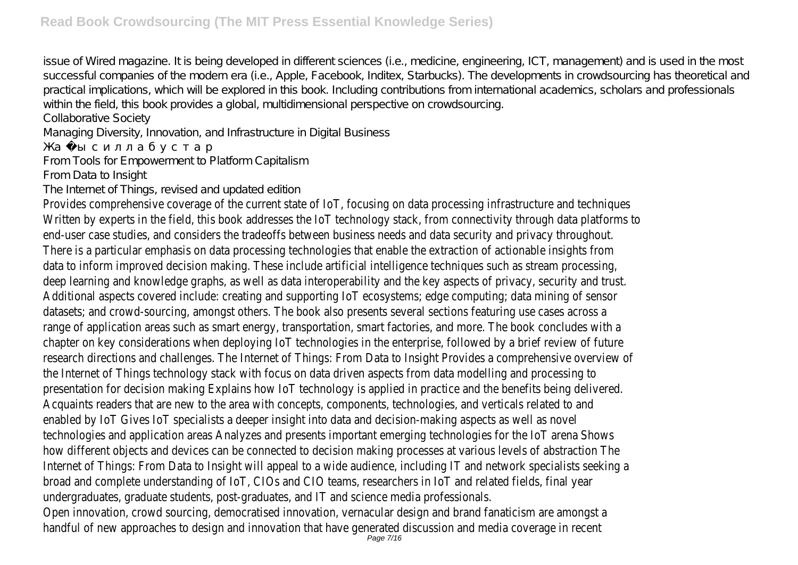issue of Wired magazine. It is being developed in different sciences (i.e., medicine, engineering, ICT, management) and is used in the most successful companies of the modern era (i.e., Apple, Facebook, Inditex, Starbucks). The developments in crowdsourcing has theoretical and practical implications, which will be explored in this book. Including contributions from international academics, scholars and professionals within the field, this book provides a global, multidimensional perspective on crowdsourcing.

Collaborative Society

Managing Diversity, Innovation, and Infrastructure in Digital Business

From Tools for Empowerment to Platform Capitalism

From Data to Insight

The Internet of Things, revised and updated edition

Provides comprehensive coverage of the current state of IoT, focusing on data processing infrastructure and techniques Written by experts in the field, this book addresses the IoT technology stack, from connectivity through data platforms to end-user case studies, and considers the tradeoffs between business needs and data security and privacy throughout. There is a particular emphasis on data processing technologies that enable the extraction of actionable insights from data to inform improved decision making. These include artificial intelligence techniques such as stream processing, deep learning and knowledge graphs, as well as data interoperability and the key aspects of privacy, security and trust. Additional aspects covered include: creating and supporting IoT ecosystems; edge computing; data mining of sensor datasets; and crowd-sourcing, amongst others. The book also presents several sections featuring use cases across a range of application areas such as smart energy, transportation, smart factories, and more. The book concludes with a chapter on key considerations when deploying IoT technologies in the enterprise, followed by a brief review of future research directions and challenges. The Internet of Things: From Data to Insight Provides a comprehensive overview of the Internet of Things technology stack with focus on data driven aspects from data modelling and processing to presentation for decision making Explains how IoT technology is applied in practice and the benefits being delivered. Acquaints readers that are new to the area with concepts, components, technologies, and verticals related to and enabled by IoT Gives IoT specialists a deeper insight into data and decision-making aspects as well as novel technologies and application areas Analyzes and presents important emerging technologies for the IoT arena Shows how different objects and devices can be connected to decision making processes at various levels of abstraction The Internet of Things: From Data to Insight will appeal to a wide audience, including IT and network specialists seeking a broad and complete understanding of IoT, CIOs and CIO teams, researchers in IoT and related fields, final year undergraduates, graduate students, post-graduates, and IT and science media professionals. Open innovation, crowd sourcing, democratised innovation, vernacular design and brand fanaticism are amongst a handful of new approaches to design and innovation that have generated discussion and innovation that have  $_{\text{Page 7/16}}$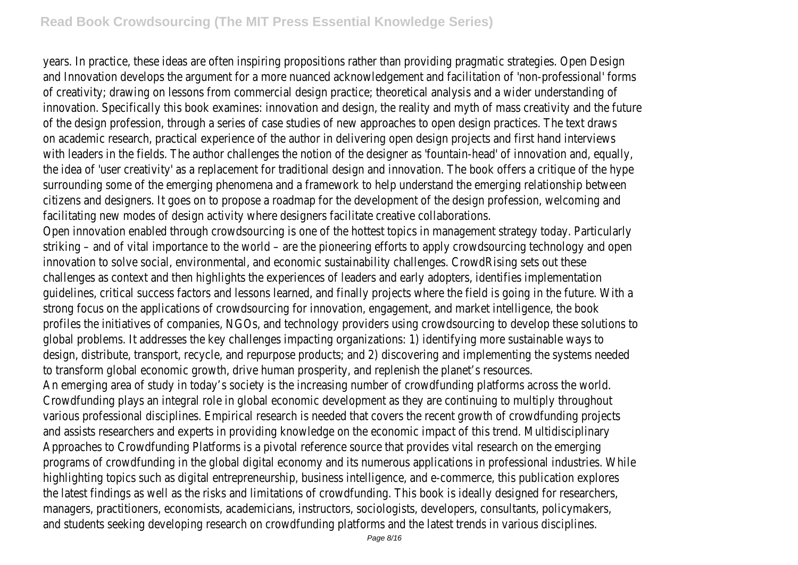years. In practice, these ideas are often inspiring propositions rather than providing pragmatic strategies. Open Design and Innovation develops the argument for a more nuanced acknowledgement and facilitation of 'non-professional' forms of creativity; drawing on lessons from commercial design practice; theoretical analysis and a wider understanding of innovation. Specifically this book examines: innovation and design, the reality and myth of mass creativity and the future of the design profession, through a series of case studies of new approaches to open design practices. The text draws on academic research, practical experience of the author in delivering open design projects and first hand interviews with leaders in the fields. The author challenges the notion of the designer as 'fountain-head' of innovation and, equally, the idea of 'user creativity' as a replacement for traditional design and innovation. The book offers a critique of the hype surrounding some of the emerging phenomena and a framework to help understand the emerging relationship between citizens and designers. It goes on to propose a roadmap for the development of the design profession, welcoming and facilitating new modes of design activity where designers facilitate creative collaborations.

Open innovation enabled through crowdsourcing is one of the hottest topics in management strategy today. Particularly striking – and of vital importance to the world – are the pioneering efforts to apply crowdsourcing technology and open innovation to solve social, environmental, and economic sustainability challenges. CrowdRising sets out these challenges as context and then highlights the experiences of leaders and early adopters, identifies implementation guidelines, critical success factors and lessons learned, and finally projects where the field is going in the future. With a strong focus on the applications of crowdsourcing for innovation, engagement, and market intelligence, the book profiles the initiatives of companies, NGOs, and technology providers using crowdsourcing to develop these solutions to global problems. It addresses the key challenges impacting organizations: 1) identifying more sustainable ways to design, distribute, transport, recycle, and repurpose products; and 2) discovering and implementing the systems needed to transform global economic growth, drive human prosperity, and replenish the planet's resources.

An emerging area of study in today's society is the increasing number of crowdfunding platforms across the world. Crowdfunding plays an integral role in global economic development as they are continuing to multiply throughout various professional disciplines. Empirical research is needed that covers the recent growth of crowdfunding projects and assists researchers and experts in providing knowledge on the economic impact of this trend. Multidisciplinary Approaches to Crowdfunding Platforms is a pivotal reference source that provides vital research on the emerging programs of crowdfunding in the global digital economy and its numerous applications in professional industries. While highlighting topics such as digital entrepreneurship, business intelligence, and e-commerce, this publication explores the latest findings as well as the risks and limitations of crowdfunding. This book is ideally designed for researchers, managers, practitioners, economists, academicians, instructors, sociologists, developers, consultants, policymakers, and students seeking developing research on crowdfunding platforms and the latest trends in various disciplines.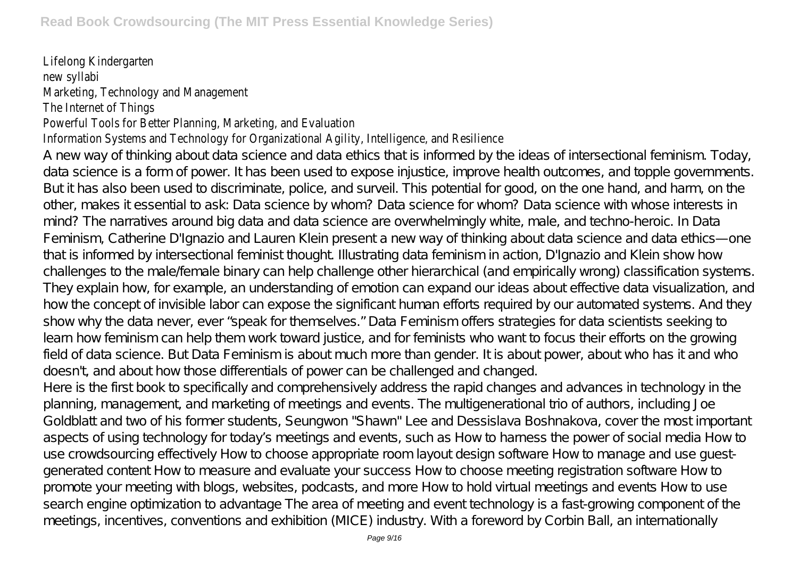#### Lifelong Kindergarten new syllabi Marketing, Technology and Management The Internet of Things

#### Powerful Tools for Better Planning, Marketing, and Evaluation

### Information Systems and Technology for Organizational Agility, Intelligence, and Resilience

A new way of thinking about data science and data ethics that is informed by the ideas of intersectional feminism. Today, data science is a form of power. It has been used to expose injustice, improve health outcomes, and topple governments. But it has also been used to discriminate, police, and surveil. This potential for good, on the one hand, and harm, on the other, makes it essential to ask: Data science by whom? Data science for whom? Data science with whose interests in mind? The narratives around big data and data science are overwhelmingly white, male, and techno-heroic. In Data Feminism, Catherine D'Ignazio and Lauren Klein present a new way of thinking about data science and data ethics—one that is informed by intersectional feminist thought. Illustrating data feminism in action, D'Ignazio and Klein show how challenges to the male/female binary can help challenge other hierarchical (and empirically wrong) classification systems. They explain how, for example, an understanding of emotion can expand our ideas about effective data visualization, and how the concept of invisible labor can expose the significant human efforts required by our automated systems. And they show why the data never, ever "speak for themselves." Data Feminism offers strategies for data scientists seeking to learn how feminism can help them work toward justice, and for feminists who want to focus their efforts on the growing field of data science. But Data Feminism is about much more than gender. It is about power, about who has it and who doesn't, and about how those differentials of power can be challenged and changed.

Here is the first book to specifically and comprehensively address the rapid changes and advances in technology in the planning, management, and marketing of meetings and events. The multigenerational trio of authors, including Joe Goldblatt and two of his former students, Seungwon "Shawn" Lee and Dessislava Boshnakova, cover the most important aspects of using technology for today's meetings and events, such as How to harness the power of social media How to use crowdsourcing effectively How to choose appropriate room layout design software How to manage and use guestgenerated content How to measure and evaluate your success How to choose meeting registration software How to promote your meeting with blogs, websites, podcasts, and more How to hold virtual meetings and events How to use search engine optimization to advantage The area of meeting and event technology is a fast-growing component of the meetings, incentives, conventions and exhibition (MICE) industry. With a foreword by Corbin Ball, an internationally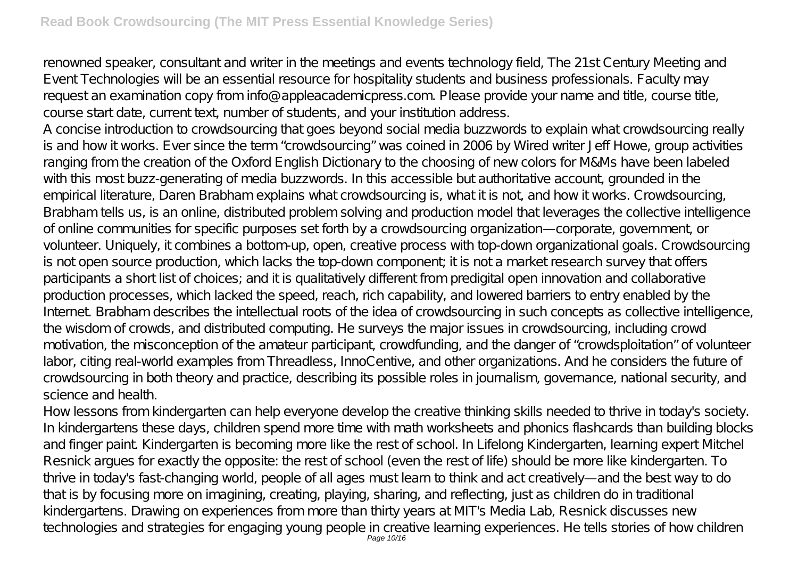renowned speaker, consultant and writer in the meetings and events technology field, The 21st Century Meeting and Event Technologies will be an essential resource for hospitality students and business professionals. Faculty may request an examination copy from info@appleacademicpress.com. Please provide your name and title, course title, course start date, current text, number of students, and your institution address.

A concise introduction to crowdsourcing that goes beyond social media buzzwords to explain what crowdsourcing really is and how it works. Ever since the term "crowdsourcing" was coined in 2006 by Wired writer Jeff Howe, group activities ranging from the creation of the Oxford English Dictionary to the choosing of new colors for M&Ms have been labeled with this most buzz-generating of media buzzwords. In this accessible but authoritative account, grounded in the empirical literature, Daren Brabham explains what crowdsourcing is, what it is not, and how it works. Crowdsourcing, Brabham tells us, is an online, distributed problem solving and production model that leverages the collective intelligence of online communities for specific purposes set forth by a crowdsourcing organization—corporate, government, or volunteer. Uniquely, it combines a bottom-up, open, creative process with top-down organizational goals. Crowdsourcing is not open source production, which lacks the top-down component; it is not a market research survey that offers participants a short list of choices; and it is qualitatively different from predigital open innovation and collaborative production processes, which lacked the speed, reach, rich capability, and lowered barriers to entry enabled by the Internet. Brabham describes the intellectual roots of the idea of crowdsourcing in such concepts as collective intelligence, the wisdom of crowds, and distributed computing. He surveys the major issues in crowdsourcing, including crowd motivation, the misconception of the amateur participant, crowdfunding, and the danger of "crowdsploitation" of volunteer labor, citing real-world examples from Threadless, InnoCentive, and other organizations. And he considers the future of crowdsourcing in both theory and practice, describing its possible roles in journalism, governance, national security, and science and health.

How lessons from kindergarten can help everyone develop the creative thinking skills needed to thrive in today's society. In kindergartens these days, children spend more time with math worksheets and phonics flashcards than building blocks and finger paint. Kindergarten is becoming more like the rest of school. In Lifelong Kindergarten, learning expert Mitchel Resnick argues for exactly the opposite: the rest of school (even the rest of life) should be more like kindergarten. To thrive in today's fast-changing world, people of all ages must learn to think and act creatively—and the best way to do that is by focusing more on imagining, creating, playing, sharing, and reflecting, just as children do in traditional kindergartens. Drawing on experiences from more than thirty years at MIT's Media Lab, Resnick discusses new technologies and strategies for engaging young people in creative learning experiences. He tells stories of how children<br>Page 10/16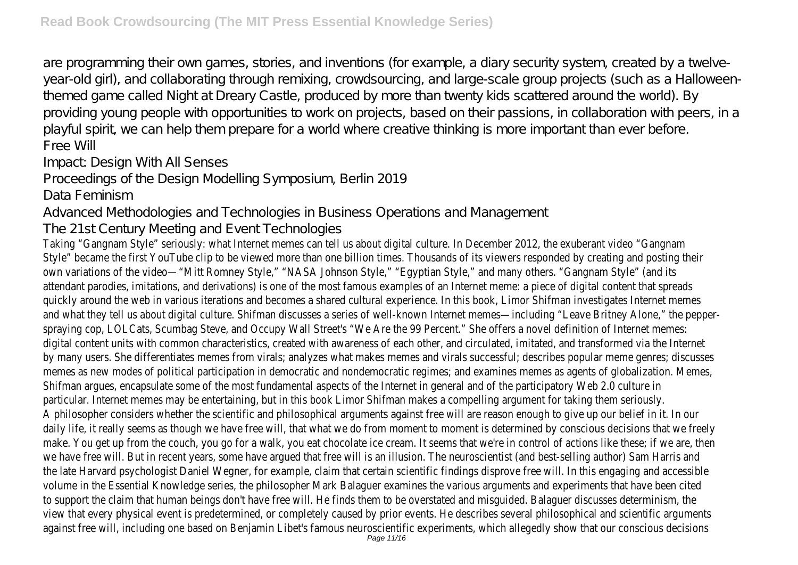are programming their own games, stories, and inventions (for example, a diary security system, created by a twelveyear-old girl), and collaborating through remixing, crowdsourcing, and large-scale group projects (such as a Halloweenthemed game called Night at Dreary Castle, produced by more than twenty kids scattered around the world). By providing young people with opportunities to work on projects, based on their passions, in collaboration with peers, in a playful spirit, we can help them prepare for a world where creative thinking is more important than ever before. Free Will

Impact: Design With All Senses

Proceedings of the Design Modelling Symposium, Berlin 2019

Data Feminism

Advanced Methodologies and Technologies in Business Operations and Management

The 21st Century Meeting and Event Technologies

Taking "Gangnam Style" seriously: what Internet memes can tell us about digital culture. In December 2012, the exuberant video "Gangnam Style" became the first YouTube clip to be viewed more than one billion times. Thousands of its viewers responded by creating and posting their own variations of the video—"Mitt Romney Style," "NASA Johnson Style," "Egyptian Style," and many others. "Gangnam Style" (and its attendant parodies, imitations, and derivations) is one of the most famous examples of an Internet meme: a piece of digital content that spreads quickly around the web in various iterations and becomes a shared cultural experience. In this book, Limor Shifman investigates Internet memes and what they tell us about digital culture. Shifman discusses a series of well-known Internet memes—including "Leave Britney Alone," the pepperspraying cop, LOLCats, Scumbag Steve, and Occupy Wall Street's "We Are the 99 Percent." She offers a novel definition of Internet memes: digital content units with common characteristics, created with awareness of each other, and circulated, imitated, and transformed via the Internet by many users. She differentiates memes from virals; analyzes what makes memes and virals successful; describes popular meme genres; discusses memes as new modes of political participation in democratic and nondemocratic regimes; and examines memes as agents of globalization. Memes, Shifman argues, encapsulate some of the most fundamental aspects of the Internet in general and of the participatory Web 2.0 culture in particular. Internet memes may be entertaining, but in this book Limor Shifman makes a compelling argument for taking them seriously. A philosopher considers whether the scientific and philosophical arguments against free will are reason enough to give up our belief in it. In our daily life, it really seems as though we have free will, that what we do from moment to moment is determined by conscious decisions that we freely make. You get up from the couch, you go for a walk, you eat chocolate ice cream. It seems that we're in control of actions like these; if we are, then we have free will. But in recent years, some have argued that free will is an illusion. The neuroscientist (and best-selling author) Sam Harris and the late Harvard psychologist Daniel Wegner, for example, claim that certain scientific findings disprove free will. In this engaging and accessible volume in the Essential Knowledge series, the philosopher Mark Balaguer examines the various arguments and experiments that have been cited to support the claim that human beings don't have free will. He finds them to be overstated and misguided. Balaguer discusses determinism, the view that every physical event is predetermined, or completely caused by prior events. He describes several philosophical and scientific arguments against free will, including one based on Benjamin Libet's famous neuroscientific experiments, which allegedly<br>Page 11/16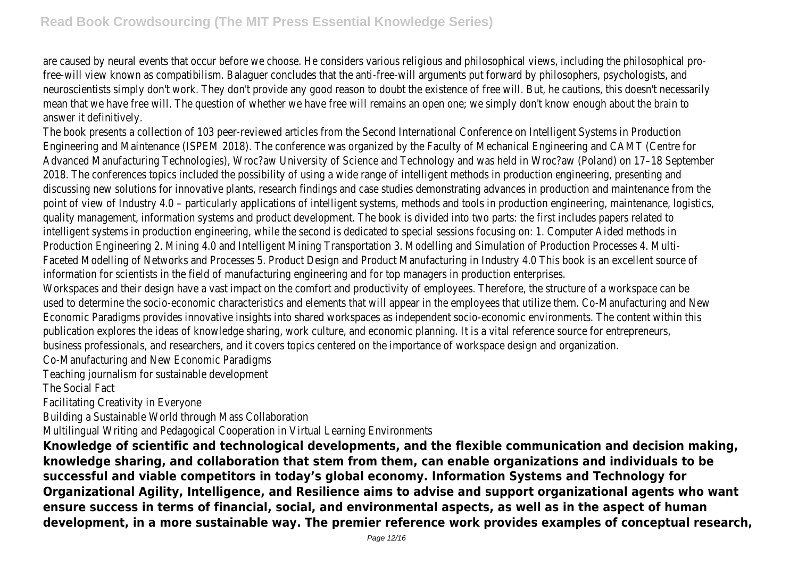are caused by neural events that occur before we choose. He considers various religious and philosophical views, including the philosophical profree-will view known as compatibilism. Balaguer concludes that the anti-free-will arguments put forward by philosophers, psychologists, and neuroscientists simply don't work. They don't provide any good reason to doubt the existence of free will. But, he cautions, this doesn't necessarily mean that we have free will. The question of whether we have free will remains an open one; we simply don't know enough about the brain to answer it definitively.

The book presents a collection of 103 peer-reviewed articles from the Second International Conference on Intelligent Systems in Production Engineering and Maintenance (ISPEM 2018). The conference was organized by the Faculty of Mechanical Engineering and CAMT (Centre for Advanced Manufacturing Technologies), Wroc?aw University of Science and Technology and was held in Wroc?aw (Poland) on 17–18 September 2018. The conferences topics included the possibility of using a wide range of intelligent methods in production engineering, presenting and discussing new solutions for innovative plants, research findings and case studies demonstrating advances in production and maintenance from the point of view of Industry 4.0 - particularly applications of intelligent systems, methods and tools in production engineering, maintenance, logistics, quality management, information systems and product development. The book is divided into two parts: the first includes papers related to intelligent systems in production engineering, while the second is dedicated to special sessions focusing on: 1. Computer Aided methods in Production Engineering 2. Mining 4.0 and Intelligent Mining Transportation 3. Modelling and Simulation of Production Processes 4. Multi-Faceted Modelling of Networks and Processes 5. Product Design and Product Manufacturing in Industry 4.0 This book is an excellent source of information for scientists in the field of manufacturing engineering and for top managers in production enterprises.

Workspaces and their design have a vast impact on the comfort and productivity of employees. Therefore, the structure of a workspace can be used to determine the socio-economic characteristics and elements that will appear in the employees that utilize them. Co-Manufacturing and New Economic Paradigms provides innovative insights into shared workspaces as independent socio-economic environments. The content within this publication explores the ideas of knowledge sharing, work culture, and economic planning. It is a vital reference source for entrepreneurs, business professionals, and researchers, and it covers topics centered on the importance of workspace design and organization.

Co-Manufacturing and New Economic Paradigms

Teaching journalism for sustainable development

The Social Fact

Facilitating Creativity in Everyone

Building a Sustainable World through Mass Collaboration

Multilingual Writing and Pedagogical Cooperation in Virtual Learning Environments

**Knowledge of scientific and technological developments, and the flexible communication and decision making, knowledge sharing, and collaboration that stem from them, can enable organizations and individuals to be successful and viable competitors in today's global economy. Information Systems and Technology for Organizational Agility, Intelligence, and Resilience aims to advise and support organizational agents who want ensure success in terms of financial, social, and environmental aspects, as well as in the aspect of human development, in a more sustainable way. The premier reference work provides examples of conceptual research,**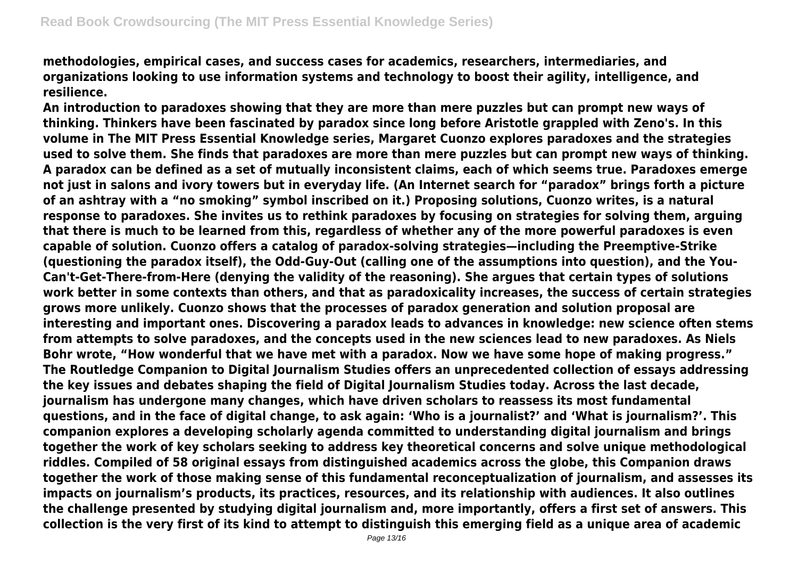**methodologies, empirical cases, and success cases for academics, researchers, intermediaries, and organizations looking to use information systems and technology to boost their agility, intelligence, and resilience.**

**An introduction to paradoxes showing that they are more than mere puzzles but can prompt new ways of thinking. Thinkers have been fascinated by paradox since long before Aristotle grappled with Zeno's. In this volume in The MIT Press Essential Knowledge series, Margaret Cuonzo explores paradoxes and the strategies used to solve them. She finds that paradoxes are more than mere puzzles but can prompt new ways of thinking. A paradox can be defined as a set of mutually inconsistent claims, each of which seems true. Paradoxes emerge not just in salons and ivory towers but in everyday life. (An Internet search for "paradox" brings forth a picture of an ashtray with a "no smoking" symbol inscribed on it.) Proposing solutions, Cuonzo writes, is a natural response to paradoxes. She invites us to rethink paradoxes by focusing on strategies for solving them, arguing that there is much to be learned from this, regardless of whether any of the more powerful paradoxes is even capable of solution. Cuonzo offers a catalog of paradox-solving strategies—including the Preemptive-Strike (questioning the paradox itself), the Odd-Guy-Out (calling one of the assumptions into question), and the You-Can't-Get-There-from-Here (denying the validity of the reasoning). She argues that certain types of solutions work better in some contexts than others, and that as paradoxicality increases, the success of certain strategies grows more unlikely. Cuonzo shows that the processes of paradox generation and solution proposal are interesting and important ones. Discovering a paradox leads to advances in knowledge: new science often stems from attempts to solve paradoxes, and the concepts used in the new sciences lead to new paradoxes. As Niels Bohr wrote, "How wonderful that we have met with a paradox. Now we have some hope of making progress." The Routledge Companion to Digital Journalism Studies offers an unprecedented collection of essays addressing the key issues and debates shaping the field of Digital Journalism Studies today. Across the last decade, journalism has undergone many changes, which have driven scholars to reassess its most fundamental questions, and in the face of digital change, to ask again: 'Who is a journalist?' and 'What is journalism?'. This companion explores a developing scholarly agenda committed to understanding digital journalism and brings together the work of key scholars seeking to address key theoretical concerns and solve unique methodological riddles. Compiled of 58 original essays from distinguished academics across the globe, this Companion draws together the work of those making sense of this fundamental reconceptualization of journalism, and assesses its impacts on journalism's products, its practices, resources, and its relationship with audiences. It also outlines the challenge presented by studying digital journalism and, more importantly, offers a first set of answers. This collection is the very first of its kind to attempt to distinguish this emerging field as a unique area of academic**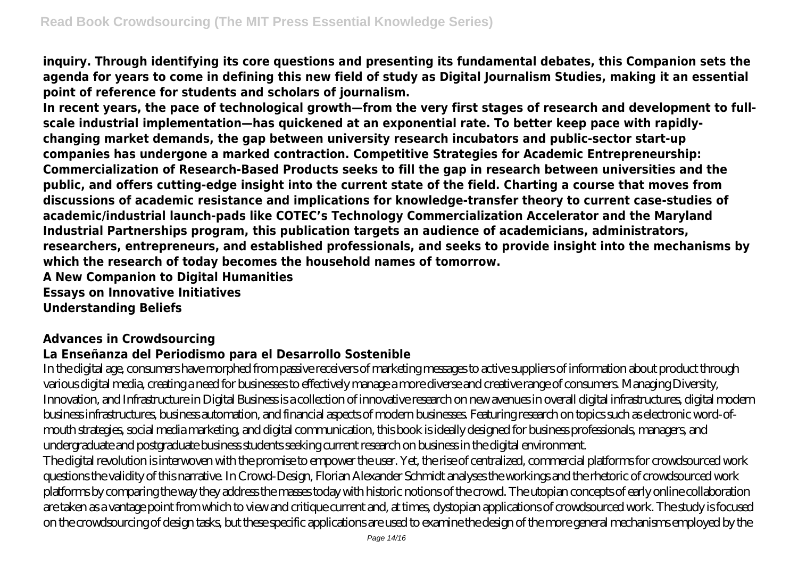**inquiry. Through identifying its core questions and presenting its fundamental debates, this Companion sets the agenda for years to come in defining this new field of study as Digital Journalism Studies, making it an essential point of reference for students and scholars of journalism.**

**In recent years, the pace of technological growth—from the very first stages of research and development to fullscale industrial implementation—has quickened at an exponential rate. To better keep pace with rapidlychanging market demands, the gap between university research incubators and public-sector start-up companies has undergone a marked contraction. Competitive Strategies for Academic Entrepreneurship: Commercialization of Research-Based Products seeks to fill the gap in research between universities and the public, and offers cutting-edge insight into the current state of the field. Charting a course that moves from discussions of academic resistance and implications for knowledge-transfer theory to current case-studies of academic/industrial launch-pads like COTEC's Technology Commercialization Accelerator and the Maryland Industrial Partnerships program, this publication targets an audience of academicians, administrators, researchers, entrepreneurs, and established professionals, and seeks to provide insight into the mechanisms by which the research of today becomes the household names of tomorrow.**

**A New Companion to Digital Humanities Essays on Innovative Initiatives**

**Understanding Beliefs**

# **Advances in Crowdsourcing**

#### **La Enseñanza del Periodismo para el Desarrollo Sostenible**

In the digital age, consumers have morphed from passive receivers of marketing messages to active suppliers of information about product through various digital media, creating a need for businesses to effectively manage a more diverse and creative range of consumers. Managing Diversity, Innovation, and Infrastructure in Digital Business is a collection of innovative research on new avenues in overall digital infrastructures, digital modern business infrastructures, business automation, and financial aspects of modern businesses. Featuring research on topics such as electronic word-ofmouth strategies, social media marketing, and digital communication, this book is ideally designed for business professionals, managers, and undergraduate and postgraduate business students seeking current research on business in the digital environment.

The digital revolution is interwoven with the promise to empower the user. Yet, the rise of centralized, commercial platforms for crowdsourced work questions the validity of this narrative. In Crowd-Design, Florian Alexander Schmidt analyses the workings and the rhetoric of crowdsourced work platforms by comparing the way they address the masses today with historic notions of the crowd. The utopian concepts of early online collaboration are taken as a vantage point from which to view and critique current and, at times, dystopian applications of crowdsourced work. The study is focused on the crowdsourcing of design tasks, but these specific applications are used to examine the design of the more general mechanisms employed by the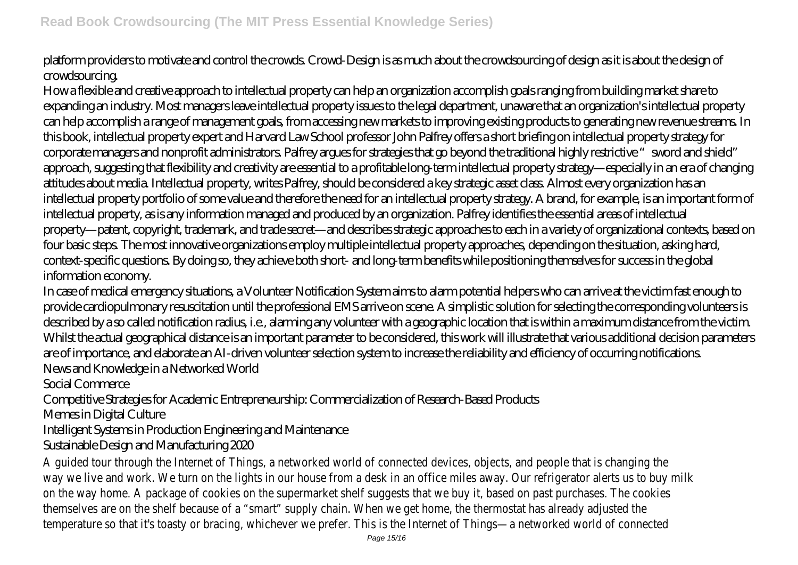platform providers to motivate and control the crowds. Crowd-Design is as much about the crowdsourcing of design as it is about the design of crowdsourcing.

How a flexible and creative approach to intellectual property can help an organization accomplish goals ranging from building market share to expanding an industry. Most managers leave intellectual property issues to the legal department, unaware that an organization's intellectual property can help accomplish a range of management goals, from accessing new markets to improving existing products to generating new revenue streams. In this book, intellectual property expert and Harvard Law School professor John Palfrey offers a short briefing on intellectual property strategy for corporate managers and nonprofit administrators. Palfrey argues for strategies that go beyond the traditional highly restrictive "sword and shield" approach, suggesting that flexibility and creativity are essential to a profitable long-term intellectual property strategy—especially in an era of changing attitudes about media. Intellectual property, writes Palfrey, should be considered a key strategic asset class. Almost every organization has an intellectual property portfolio of some value and therefore the need for an intellectual property strategy. A brand, for example, is an important form of intellectual property, as is any information managed and produced by an organization. Palfrey identifies the essential areas of intellectual property—patent, copyright, trademark, and trade secret—and describes strategic approaches to each in a variety of organizational contexts, based on four basic steps. The most innovative organizations employ multiple intellectual property approaches, depending on the situation, asking hard, context-specific questions. By doing so, they achieve both short- and long-term benefits while positioning themselves for success in the global information economy.

In case of medical emergency situations, a Volunteer Notification System aims to alarm potential helpers who can arrive at the victim fast enough to provide cardiopulmonary resuscitation until the professional EMS arrive on scene. A simplistic solution for selecting the corresponding volunteers is described by a so called notification radius, i.e., alarming any volunteer with a geographic location that is within a maximum distance from the victim. Whilst the actual geographical distance is an important parameter to be considered, this work will illustrate that various additional decision parameters are of importance, and elaborate an AI-driven volunteer selection system to increase the reliability and efficiency of occurring notifications. News and Knowledge in a Networked World

Social Commerce

Competitive Strategies for Academic Entrepreneurship: Commercialization of Research-Based Products

Memes in Digital Culture

Intelligent Systems in Production Engineering and Maintenance

Sustainable Design and Manufacturing 2020

A guided tour through the Internet of Things, a networked world of connected devices, objects, and people that is changing the way we live and work. We turn on the lights in our house from a desk in an office miles away. Our refrigerator alerts us to buy milk on the way home. A package of cookies on the supermarket shelf suggests that we buy it, based on past purchases. The cookies themselves are on the shelf because of a "smart" supply chain. When we get home, the thermostat has already adjusted the temperature so that it's toasty or bracing, whichever we prefer. This is the Internet of Things—a networked world of connected